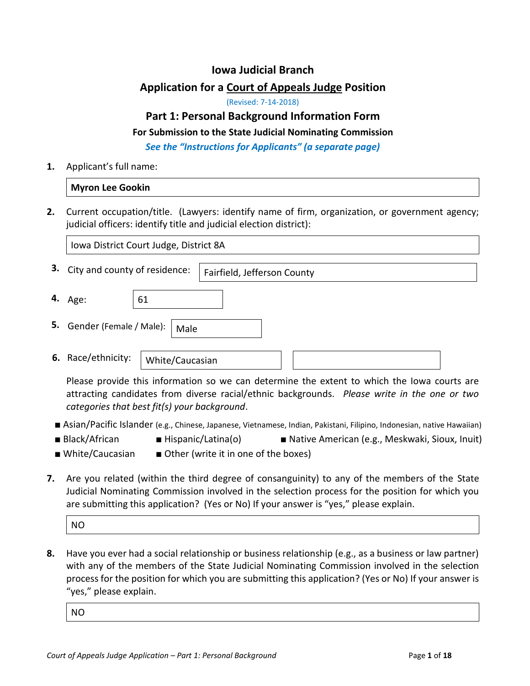## **Iowa Judicial Branch**

# **Application for a Court of Appeals Judge Position**

(Revised: 7-14-2018)

## **Part 1: Personal Background Information Form**

#### **For Submission to the State Judicial Nominating Commission**

*See the "Instructions for Applicants" (a separate page)*

**1.** Applicant's full name:

|    | <b>Myron Lee Gookin</b>                                                                                                                                                                     |
|----|---------------------------------------------------------------------------------------------------------------------------------------------------------------------------------------------|
| 2. | Current occupation/title. (Lawyers: identify name of firm, organization, or government agency;<br>judicial officers: identify title and judicial election district):                        |
|    | Iowa District Court Judge, District 8A                                                                                                                                                      |
| з. | City and county of residence:<br>Fairfield, Jefferson County                                                                                                                                |
| 4. | 61<br>Age:                                                                                                                                                                                  |
| 5. | Gender (Female / Male):<br>Male                                                                                                                                                             |
| 6. | Race/ethnicity:<br>White/Caucasian                                                                                                                                                          |
|    | Please provide this information so we can determine the extent to which the lowa courts are<br>attracting candidates from diverse racial/ethnic backgrounds. Please write in the one or two |

*categories that best fit(s) your background*.

- Asian/Pacific Islander (e.g., Chinese, Japanese, Vietnamese, Indian, Pakistani, Filipino, Indonesian, native Hawaiian)
- 
- Black/African Hispanic/Latina(o) Native American (e.g., Meskwaki, Sioux, Inuit)
- 
- White/Caucasian Other (write it in one of the boxes)
- **7.** Are you related (within the third degree of consanguinity) to any of the members of the State Judicial Nominating Commission involved in the selection process for the position for which you are submitting this application? (Yes or No) If your answer is "yes," please explain.

NO

**8.** Have you ever had a social relationship or business relationship (e.g., as a business or law partner) with any of the members of the State Judicial Nominating Commission involved in the selection process for the position for which you are submitting this application? (Yes or No) If your answer is "yes," please explain.

NO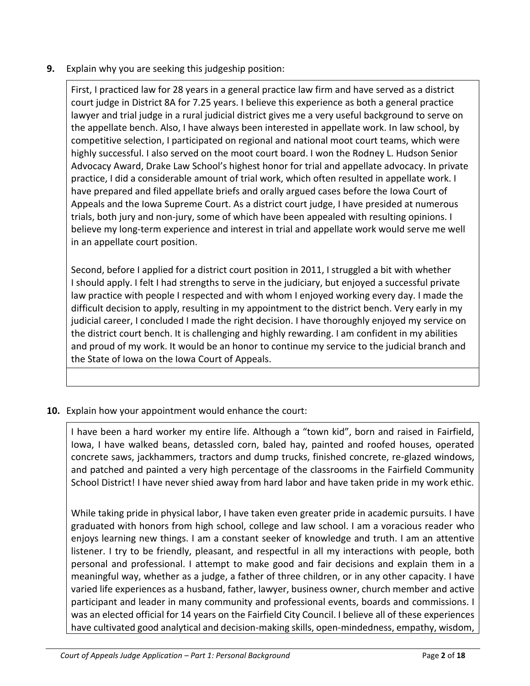**9.** Explain why you are seeking this judgeship position:

First, I practiced law for 28 years in a general practice law firm and have served as a district court judge in District 8A for 7.25 years. I believe this experience as both a general practice lawyer and trial judge in a rural judicial district gives me a very useful background to serve on the appellate bench. Also, I have always been interested in appellate work. In law school, by competitive selection, I participated on regional and national moot court teams, which were highly successful. I also served on the moot court board. I won the Rodney L. Hudson Senior Advocacy Award, Drake Law School's highest honor for trial and appellate advocacy. In private practice, I did a considerable amount of trial work, which often resulted in appellate work. I have prepared and filed appellate briefs and orally argued cases before the Iowa Court of Appeals and the Iowa Supreme Court. As a district court judge, I have presided at numerous trials, both jury and non-jury, some of which have been appealed with resulting opinions. I believe my long-term experience and interest in trial and appellate work would serve me well in an appellate court position.

Second, before I applied for a district court position in 2011, I struggled a bit with whether I should apply. I felt I had strengths to serve in the judiciary, but enjoyed a successful private law practice with people I respected and with whom I enjoyed working every day. I made the difficult decision to apply, resulting in my appointment to the district bench. Very early in my judicial career, I concluded I made the right decision. I have thoroughly enjoyed my service on the district court bench. It is challenging and highly rewarding. I am confident in my abilities and proud of my work. It would be an honor to continue my service to the judicial branch and the State of Iowa on the Iowa Court of Appeals.

**10.** Explain how your appointment would enhance the court:

I have been a hard worker my entire life. Although a "town kid", born and raised in Fairfield, Iowa, I have walked beans, detassled corn, baled hay, painted and roofed houses, operated concrete saws, jackhammers, tractors and dump trucks, finished concrete, re-glazed windows, and patched and painted a very high percentage of the classrooms in the Fairfield Community School District! I have never shied away from hard labor and have taken pride in my work ethic.

While taking pride in physical labor, I have taken even greater pride in academic pursuits. I have graduated with honors from high school, college and law school. I am a voracious reader who enjoys learning new things. I am a constant seeker of knowledge and truth. I am an attentive listener. I try to be friendly, pleasant, and respectful in all my interactions with people, both personal and professional. I attempt to make good and fair decisions and explain them in a meaningful way, whether as a judge, a father of three children, or in any other capacity. I have varied life experiences as a husband, father, lawyer, business owner, church member and active participant and leader in many community and professional events, boards and commissions. I was an elected official for 14 years on the Fairfield City Council. I believe all of these experiences have cultivated good analytical and decision-making skills, open-mindedness, empathy, wisdom,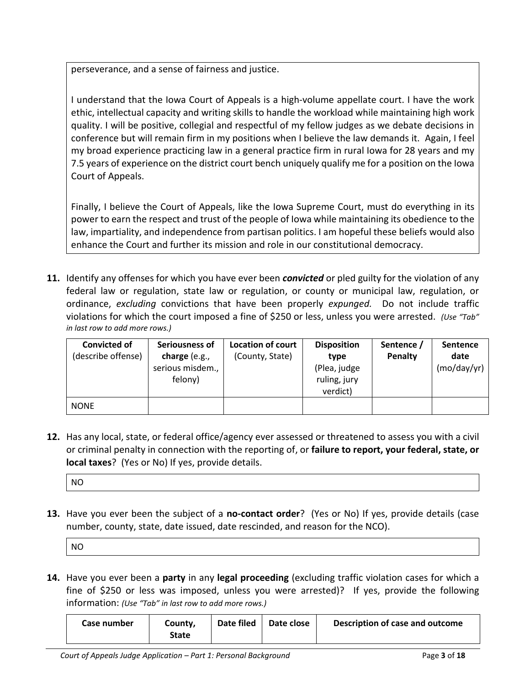perseverance, and a sense of fairness and justice.

I understand that the Iowa Court of Appeals is a high-volume appellate court. I have the work ethic, intellectual capacity and writing skills to handle the workload while maintaining high work quality. I will be positive, collegial and respectful of my fellow judges as we debate decisions in conference but will remain firm in my positions when I believe the law demands it. Again, I feel my broad experience practicing law in a general practice firm in rural Iowa for 28 years and my 7.5 years of experience on the district court bench uniquely qualify me for a position on the Iowa Court of Appeals.

Finally, I believe the Court of Appeals, like the Iowa Supreme Court, must do everything in its power to earn the respect and trust of the people of Iowa while maintaining its obedience to the law, impartiality, and independence from partisan politics. I am hopeful these beliefs would also enhance the Court and further its mission and role in our constitutional democracy.

**11.** Identify any offenses for which you have ever been *convicted* or pled guilty for the violation of any federal law or regulation, state law or regulation, or county or municipal law, regulation, or ordinance, *excluding* convictions that have been properly *expunged.* Do not include traffic violations for which the court imposed a fine of \$250 or less, unless you were arrested. *(Use "Tab" in last row to add more rows.)*

| <b>Convicted of</b><br>(describe offense) | Seriousness of<br>charge $(e.g.,$<br>serious misdem.,<br>felony) | <b>Location of court</b><br>(County, State) | <b>Disposition</b><br>type<br>(Plea, judge<br>ruling, jury<br>verdict) | Sentence /<br>Penalty | <b>Sentence</b><br>date<br>(mo/day/yr) |
|-------------------------------------------|------------------------------------------------------------------|---------------------------------------------|------------------------------------------------------------------------|-----------------------|----------------------------------------|
| <b>NONE</b>                               |                                                                  |                                             |                                                                        |                       |                                        |

**12.** Has any local, state, or federal office/agency ever assessed or threatened to assess you with a civil or criminal penalty in connection with the reporting of, or **failure to report, your federal, state, or local taxes**? (Yes or No) If yes, provide details.

| ΝO |
|----|
|----|

**13.** Have you ever been the subject of a **no-contact order**? (Yes or No) If yes, provide details (case number, county, state, date issued, date rescinded, and reason for the NCO).

| <b>NO</b> |  |
|-----------|--|
|-----------|--|

**14.** Have you ever been a **party** in any **legal proceeding** (excluding traffic violation cases for which a fine of \$250 or less was imposed, unless you were arrested)? If yes, provide the following information: *(Use "Tab" in last row to add more rows.)*

| Case number | County, | Date filed   Date close | Description of case and outcome |
|-------------|---------|-------------------------|---------------------------------|
|             | State   |                         |                                 |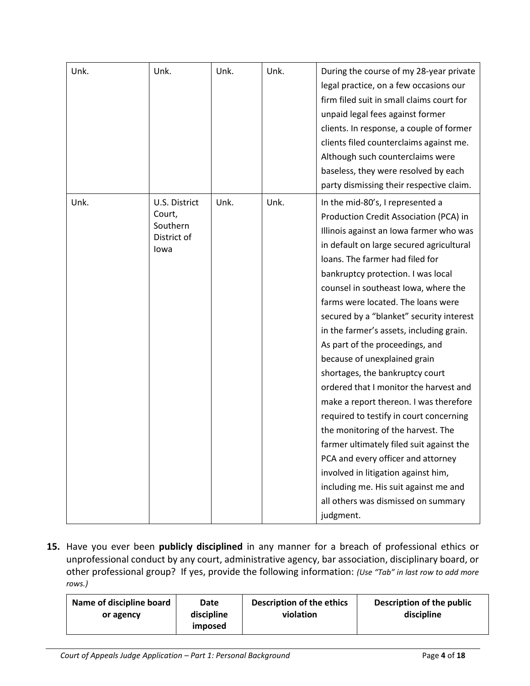| Unk. | Unk.                                                       | Unk. | Unk. | During the course of my 28-year private<br>legal practice, on a few occasions our<br>firm filed suit in small claims court for<br>unpaid legal fees against former<br>clients. In response, a couple of former<br>clients filed counterclaims against me.<br>Although such counterclaims were<br>baseless, they were resolved by each<br>party dismissing their respective claim.                                                                                                                                                                                                                                                                                                                                                                                                                                                                                                                                 |
|------|------------------------------------------------------------|------|------|-------------------------------------------------------------------------------------------------------------------------------------------------------------------------------------------------------------------------------------------------------------------------------------------------------------------------------------------------------------------------------------------------------------------------------------------------------------------------------------------------------------------------------------------------------------------------------------------------------------------------------------------------------------------------------------------------------------------------------------------------------------------------------------------------------------------------------------------------------------------------------------------------------------------|
| Unk. | U.S. District<br>Court,<br>Southern<br>District of<br>lowa | Unk. | Unk. | In the mid-80's, I represented a<br>Production Credit Association (PCA) in<br>Illinois against an Iowa farmer who was<br>in default on large secured agricultural<br>loans. The farmer had filed for<br>bankruptcy protection. I was local<br>counsel in southeast lowa, where the<br>farms were located. The loans were<br>secured by a "blanket" security interest<br>in the farmer's assets, including grain.<br>As part of the proceedings, and<br>because of unexplained grain<br>shortages, the bankruptcy court<br>ordered that I monitor the harvest and<br>make a report thereon. I was therefore<br>required to testify in court concerning<br>the monitoring of the harvest. The<br>farmer ultimately filed suit against the<br>PCA and every officer and attorney<br>involved in litigation against him,<br>including me. His suit against me and<br>all others was dismissed on summary<br>judgment. |

**15.** Have you ever been **publicly disciplined** in any manner for a breach of professional ethics or unprofessional conduct by any court, administrative agency, bar association, disciplinary board, or other professional group? If yes, provide the following information: *(Use "Tab" in last row to add more rows.)*

|  | Name of discipline board<br>or agency | Date<br>discipline<br><i>imposed</i> | Description of the ethics<br>violation | Description of the public<br>discipline |
|--|---------------------------------------|--------------------------------------|----------------------------------------|-----------------------------------------|
|--|---------------------------------------|--------------------------------------|----------------------------------------|-----------------------------------------|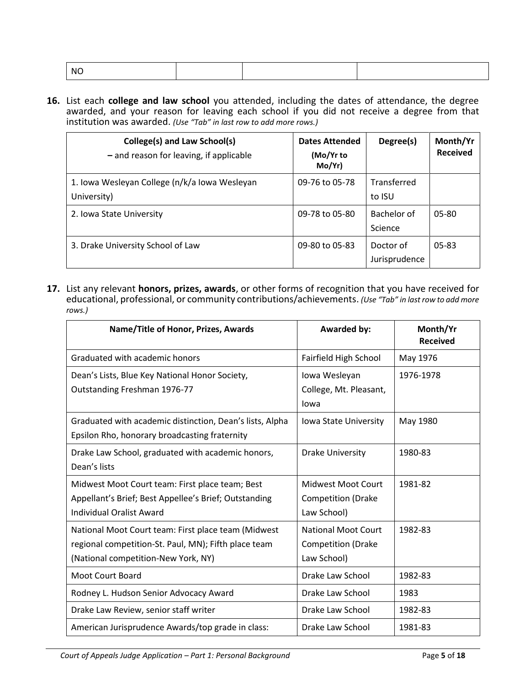| . NG |  |  |
|------|--|--|
|      |  |  |
|      |  |  |
|      |  |  |

**16.** List each **college and law school** you attended, including the dates of attendance, the degree awarded, and your reason for leaving each school if you did not receive a degree from that institution was awarded. *(Use "Tab" in last row to add more rows.)*

| College(s) and Law School(s)<br>$-$ and reason for leaving, if applicable | <b>Dates Attended</b><br>(Mo/Yr to<br>Mo/Yr) | Degree(s)                  | Month/Yr<br><b>Received</b> |
|---------------------------------------------------------------------------|----------------------------------------------|----------------------------|-----------------------------|
| 1. Iowa Wesleyan College (n/k/a Iowa Wesleyan<br>University)              | 09-76 to 05-78                               | Transferred<br>to ISU      |                             |
| 2. Iowa State University                                                  | 09-78 to 05-80                               | Bachelor of<br>Science     | 05-80                       |
| 3. Drake University School of Law                                         | 09-80 to 05-83                               | Doctor of<br>Jurisprudence | $05 - 83$                   |

**17.** List any relevant **honors, prizes, awards**, or other forms of recognition that you have received for educational, professional, or community contributions/achievements. *(Use "Tab" in last row to add more rows.)*

| Name/Title of Honor, Prizes, Awards                                                                                                                | <b>Awarded by:</b>                                                     | Month/Yr<br><b>Received</b> |
|----------------------------------------------------------------------------------------------------------------------------------------------------|------------------------------------------------------------------------|-----------------------------|
| Graduated with academic honors                                                                                                                     | Fairfield High School                                                  | May 1976                    |
| Dean's Lists, Blue Key National Honor Society,<br>Outstanding Freshman 1976-77                                                                     | Iowa Wesleyan<br>College, Mt. Pleasant,<br>lowa                        | 1976-1978                   |
| Graduated with academic distinction, Dean's lists, Alpha<br>Epsilon Rho, honorary broadcasting fraternity                                          | Iowa State University                                                  | May 1980                    |
| Drake Law School, graduated with academic honors,<br>Dean's lists                                                                                  | <b>Drake University</b>                                                | 1980-83                     |
| Midwest Moot Court team: First place team; Best<br>Appellant's Brief; Best Appellee's Brief; Outstanding<br><b>Individual Oralist Award</b>        | Midwest Moot Court<br><b>Competition (Drake</b><br>Law School)         | 1981-82                     |
| National Moot Court team: First place team (Midwest<br>regional competition-St. Paul, MN); Fifth place team<br>(National competition-New York, NY) | <b>National Moot Court</b><br><b>Competition (Drake</b><br>Law School) | 1982-83                     |
| <b>Moot Court Board</b>                                                                                                                            | Drake Law School                                                       | 1982-83                     |
| Rodney L. Hudson Senior Advocacy Award                                                                                                             | Drake Law School                                                       | 1983                        |
| Drake Law Review, senior staff writer                                                                                                              | Drake Law School                                                       | 1982-83                     |
| American Jurisprudence Awards/top grade in class:                                                                                                  | Drake Law School                                                       | 1981-83                     |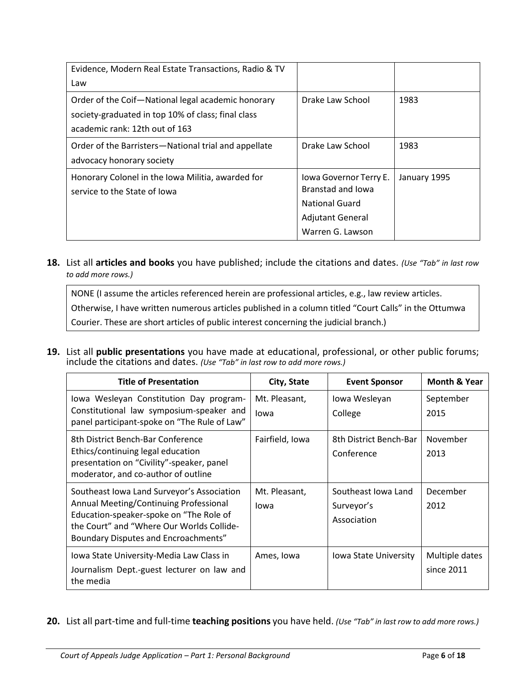| Evidence, Modern Real Estate Transactions, Radio & TV                                                                                      |                                                                                                       |              |
|--------------------------------------------------------------------------------------------------------------------------------------------|-------------------------------------------------------------------------------------------------------|--------------|
| Law                                                                                                                                        |                                                                                                       |              |
| Order of the Coif-National legal academic honorary<br>society-graduated in top 10% of class; final class<br>academic rank: 12th out of 163 | Drake Law School                                                                                      | 1983         |
| Order of the Barristers-National trial and appellate<br>advocacy honorary society                                                          | Drake Law School                                                                                      | 1983         |
| Honorary Colonel in the Iowa Militia, awarded for<br>service to the State of Jowa                                                          | Iowa Governor Terry E.<br>Branstad and Jowa<br>National Guard<br>Adjutant General<br>Warren G. Lawson | January 1995 |

**18.** List all **articles and books** you have published; include the citations and dates. *(Use "Tab" in last row to add more rows.)*

NONE (I assume the articles referenced herein are professional articles, e.g., law review articles. Otherwise, I have written numerous articles published in a column titled "Court Calls" in the Ottumwa Courier. These are short articles of public interest concerning the judicial branch.)

**19.** List all **public presentations** you have made at educational, professional, or other public forums; include the citations and dates. *(Use "Tab" in last row to add more rows.)*

| <b>Title of Presentation</b>                                                                                                                                                                                                | City, State           | <b>Event Sponsor</b>                             | <b>Month &amp; Year</b>      |
|-----------------------------------------------------------------------------------------------------------------------------------------------------------------------------------------------------------------------------|-----------------------|--------------------------------------------------|------------------------------|
| Iowa Wesleyan Constitution Day program-<br>Constitutional law symposium-speaker and<br>panel participant-spoke on "The Rule of Law"                                                                                         | Mt. Pleasant,<br>lowa | Iowa Wesleyan<br>College                         | September<br>2015            |
| 8th District Bench-Bar Conference<br>Ethics/continuing legal education<br>presentation on "Civility"-speaker, panel<br>moderator, and co-author of outline                                                                  | Fairfield, Iowa       | 8th District Bench-Bar<br>Conference             | November<br>2013             |
| Southeast Iowa Land Surveyor's Association<br>Annual Meeting/Continuing Professional<br>Education-speaker-spoke on "The Role of<br>the Court" and "Where Our Worlds Collide-<br><b>Boundary Disputes and Encroachments"</b> | Mt. Pleasant,<br>lowa | Southeast Iowa Land<br>Surveyor's<br>Association | December<br>2012             |
| Iowa State University-Media Law Class in<br>Journalism Dept.-guest lecturer on law and<br>the media                                                                                                                         | Ames, Iowa            | lowa State University                            | Multiple dates<br>since 2011 |

**20.** List all part-time and full-time **teaching positions** you have held. *(Use "Tab" in last row to add more rows.)*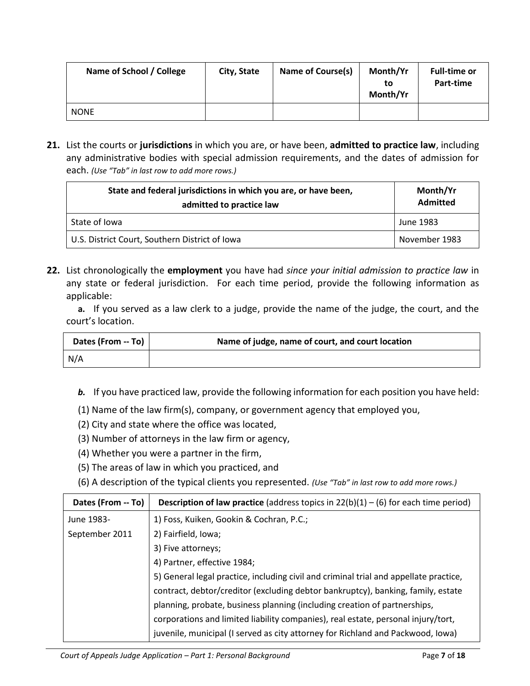| Name of School / College | City, State | <b>Name of Course(s)</b> | Month/Yr<br>to<br>Month/Yr | <b>Full-time or</b><br>Part-time |
|--------------------------|-------------|--------------------------|----------------------------|----------------------------------|
| <b>NONE</b>              |             |                          |                            |                                  |

**21.** List the courts or **jurisdictions** in which you are, or have been, **admitted to practice law**, including any administrative bodies with special admission requirements, and the dates of admission for each. *(Use "Tab" in last row to add more rows.)*

| State and federal jurisdictions in which you are, or have been,<br>admitted to practice law | Month/Yr<br><b>Admitted</b> |
|---------------------------------------------------------------------------------------------|-----------------------------|
| State of Iowa                                                                               | June 1983                   |
| U.S. District Court, Southern District of Iowa                                              | November 1983               |

**22.** List chronologically the **employment** you have had *since your initial admission to practice law* in any state or federal jurisdiction. For each time period, provide the following information as applicable:

**a.** If you served as a law clerk to a judge, provide the name of the judge, the court, and the court's location.

| Dates (From -- To) | Name of judge, name of court, and court location |
|--------------------|--------------------------------------------------|
| N/A                |                                                  |

- *b.* If you have practiced law, provide the following information for each position you have held:
- (1) Name of the law firm(s), company, or government agency that employed you,
- (2) City and state where the office was located,
- (3) Number of attorneys in the law firm or agency,
- (4) Whether you were a partner in the firm,
- (5) The areas of law in which you practiced, and
- (6) A description of the typical clients you represented. *(Use "Tab" in last row to add more rows.)*

| Dates (From -- To) | <b>Description of law practice</b> (address topics in $22(b)(1) - (6)$ for each time period) |
|--------------------|----------------------------------------------------------------------------------------------|
| June 1983-         | 1) Foss, Kuiken, Gookin & Cochran, P.C.;                                                     |
| September 2011     | 2) Fairfield, Iowa;                                                                          |
|                    | 3) Five attorneys;                                                                           |
|                    | 4) Partner, effective 1984;                                                                  |
|                    | 5) General legal practice, including civil and criminal trial and appellate practice,        |
|                    | contract, debtor/creditor (excluding debtor bankruptcy), banking, family, estate             |
|                    | planning, probate, business planning (including creation of partnerships,                    |
|                    | corporations and limited liability companies), real estate, personal injury/tort,            |
|                    | juvenile, municipal (I served as city attorney for Richland and Packwood, Iowa)              |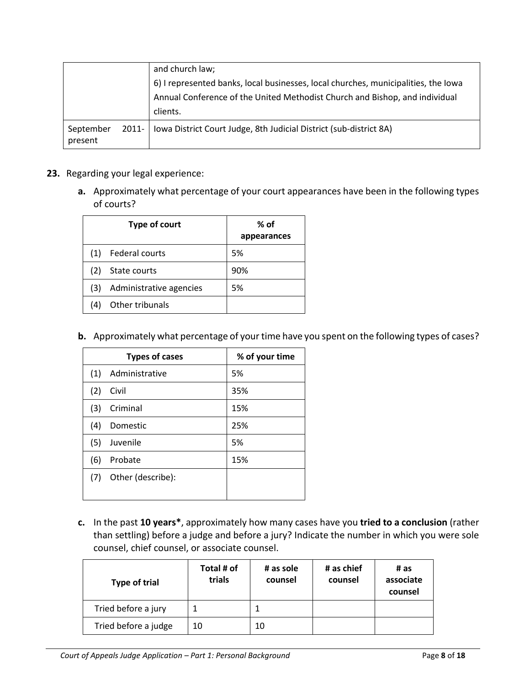|                      |                                                                                    | and church law;                                                             |  |  |
|----------------------|------------------------------------------------------------------------------------|-----------------------------------------------------------------------------|--|--|
|                      | 6) I represented banks, local businesses, local churches, municipalities, the Iowa |                                                                             |  |  |
|                      |                                                                                    | Annual Conference of the United Methodist Church and Bishop, and individual |  |  |
|                      |                                                                                    | clients.                                                                    |  |  |
| September<br>present | 2011-                                                                              | Iowa District Court Judge, 8th Judicial District (sub-district 8A)          |  |  |

- **23.** Regarding your legal experience:
	- **a.** Approximately what percentage of your court appearances have been in the following types of courts?

|     | Type of court           | $%$ of<br>appearances |
|-----|-------------------------|-----------------------|
| (1) | Federal courts          | 5%                    |
| (2) | State courts            | 90%                   |
| (3) | Administrative agencies | 5%                    |
| (4) | Other tribunals         |                       |

**b.** Approximately what percentage of your time have you spent on the following types of cases?

|     | <b>Types of cases</b> | % of your time |
|-----|-----------------------|----------------|
| (1) | Administrative        | 5%             |
| (2) | Civil                 | 35%            |
| (3) | Criminal              | 15%            |
| (4) | Domestic              | 25%            |
| (5) | Juvenile              | 5%             |
| (6) | Probate               | 15%            |
| (7) | Other (describe):     |                |

**c.** In the past **10 years\***, approximately how many cases have you **tried to a conclusion** (rather than settling) before a judge and before a jury? Indicate the number in which you were sole counsel, chief counsel, or associate counsel.

| Type of trial        | Total # of<br>trials | # as sole<br>counsel | # as chief<br>counsel | # as<br>associate<br>counsel |
|----------------------|----------------------|----------------------|-----------------------|------------------------------|
| Tried before a jury  |                      |                      |                       |                              |
| Tried before a judge | 10                   | 10                   |                       |                              |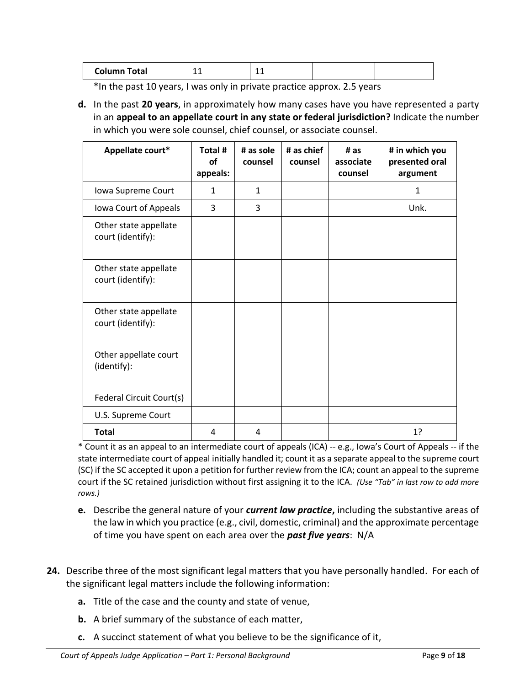| Column<br>Total | --- |  |  |  |
|-----------------|-----|--|--|--|
|-----------------|-----|--|--|--|

\*In the past 10 years, I was only in private practice approx. 2.5 years

**d.** In the past **20 years**, in approximately how many cases have you have represented a party in an **appeal to an appellate court in any state or federal jurisdiction?** Indicate the number in which you were sole counsel, chief counsel, or associate counsel.

| Appellate court*                           | Total #<br><b>of</b><br>appeals: | # as sole<br>counsel | # as chief<br>counsel | # as<br>associate<br>counsel | # in which you<br>presented oral<br>argument |
|--------------------------------------------|----------------------------------|----------------------|-----------------------|------------------------------|----------------------------------------------|
| Iowa Supreme Court                         | 1                                | $\mathbf{1}$         |                       |                              | $\mathbf{1}$                                 |
| Iowa Court of Appeals                      | 3                                | 3                    |                       |                              | Unk.                                         |
| Other state appellate<br>court (identify): |                                  |                      |                       |                              |                                              |
| Other state appellate<br>court (identify): |                                  |                      |                       |                              |                                              |
| Other state appellate<br>court (identify): |                                  |                      |                       |                              |                                              |
| Other appellate court<br>(identify):       |                                  |                      |                       |                              |                                              |
| Federal Circuit Court(s)                   |                                  |                      |                       |                              |                                              |
| U.S. Supreme Court                         |                                  |                      |                       |                              |                                              |
| <b>Total</b>                               | 4                                | 4                    |                       |                              | 1?                                           |

\* Count it as an appeal to an intermediate court of appeals (ICA) -- e.g., Iowa's Court of Appeals -- if the state intermediate court of appeal initially handled it; count it as a separate appeal to the supreme court (SC) if the SC accepted it upon a petition for further review from the ICA; count an appeal to the supreme court if the SC retained jurisdiction without first assigning it to the ICA. *(Use "Tab" in last row to add more rows.)*

- **e.** Describe the general nature of your *current law practice***,** including the substantive areas of the law in which you practice (e.g., civil, domestic, criminal) and the approximate percentage of time you have spent on each area over the *past five years*: N/A
- **24.** Describe three of the most significant legal matters that you have personally handled. For each of the significant legal matters include the following information:
	- **a.** Title of the case and the county and state of venue,
	- **b.** A brief summary of the substance of each matter,
	- **c.** A succinct statement of what you believe to be the significance of it,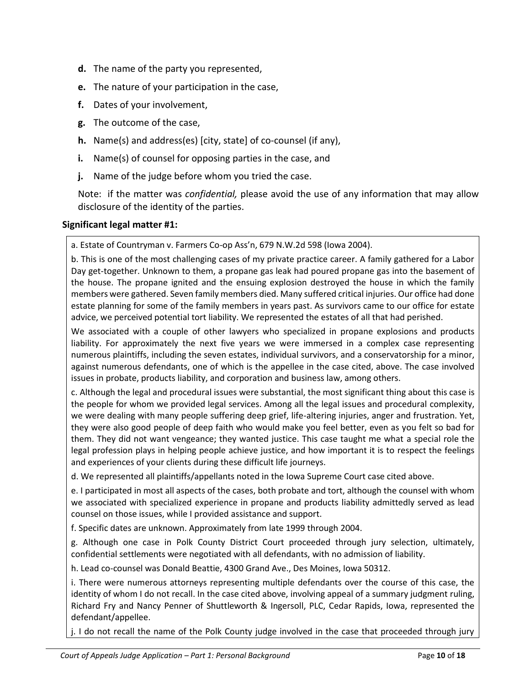- **d.** The name of the party you represented,
- **e.** The nature of your participation in the case,
- **f.** Dates of your involvement,
- **g.** The outcome of the case,
- **h.** Name(s) and address(es) [city, state] of co-counsel (if any),
- **i.** Name(s) of counsel for opposing parties in the case, and
- **j.** Name of the judge before whom you tried the case.

Note: if the matter was *confidential,* please avoid the use of any information that may allow disclosure of the identity of the parties.

### **Significant legal matter #1:**

a. Estate of Countryman v. Farmers Co-op Ass'n, 679 N.W.2d 598 (Iowa 2004).

b. This is one of the most challenging cases of my private practice career. A family gathered for a Labor Day get-together. Unknown to them, a propane gas leak had poured propane gas into the basement of the house. The propane ignited and the ensuing explosion destroyed the house in which the family members were gathered. Seven family members died. Many suffered critical injuries. Our office had done estate planning for some of the family members in years past. As survivors came to our office for estate advice, we perceived potential tort liability. We represented the estates of all that had perished.

We associated with a couple of other lawyers who specialized in propane explosions and products liability. For approximately the next five years we were immersed in a complex case representing numerous plaintiffs, including the seven estates, individual survivors, and a conservatorship for a minor, against numerous defendants, one of which is the appellee in the case cited, above. The case involved issues in probate, products liability, and corporation and business law, among others.

c. Although the legal and procedural issues were substantial, the most significant thing about this case is the people for whom we provided legal services. Among all the legal issues and procedural complexity, we were dealing with many people suffering deep grief, life-altering injuries, anger and frustration. Yet, they were also good people of deep faith who would make you feel better, even as you felt so bad for them. They did not want vengeance; they wanted justice. This case taught me what a special role the legal profession plays in helping people achieve justice, and how important it is to respect the feelings and experiences of your clients during these difficult life journeys.

d. We represented all plaintiffs/appellants noted in the Iowa Supreme Court case cited above.

e. I participated in most all aspects of the cases, both probate and tort, although the counsel with whom we associated with specialized experience in propane and products liability admittedly served as lead counsel on those issues, while I provided assistance and support.

f. Specific dates are unknown. Approximately from late 1999 through 2004.

g. Although one case in Polk County District Court proceeded through jury selection, ultimately, confidential settlements were negotiated with all defendants, with no admission of liability.

h. Lead co-counsel was Donald Beattie, 4300 Grand Ave., Des Moines, Iowa 50312.

i. There were numerous attorneys representing multiple defendants over the course of this case, the identity of whom I do not recall. In the case cited above, involving appeal of a summary judgment ruling, Richard Fry and Nancy Penner of Shuttleworth & Ingersoll, PLC, Cedar Rapids, Iowa, represented the defendant/appellee.

j. I do not recall the name of the Polk County judge involved in the case that proceeded through jury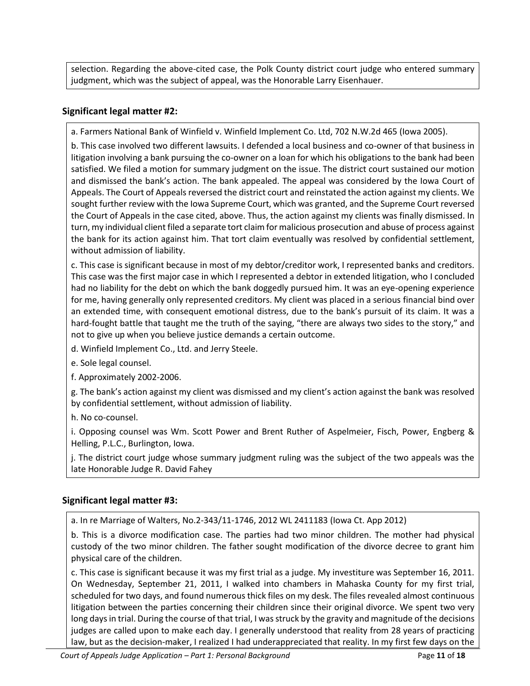selection. Regarding the above-cited case, the Polk County district court judge who entered summary judgment, which was the subject of appeal, was the Honorable Larry Eisenhauer.

### **Significant legal matter #2:**

a. Farmers National Bank of Winfield v. Winfield Implement Co. Ltd, 702 N.W.2d 465 (Iowa 2005).

b. This case involved two different lawsuits. I defended a local business and co-owner of that business in litigation involving a bank pursuing the co-owner on a loan for which his obligations to the bank had been satisfied. We filed a motion for summary judgment on the issue. The district court sustained our motion and dismissed the bank's action. The bank appealed. The appeal was considered by the Iowa Court of Appeals. The Court of Appeals reversed the district court and reinstated the action against my clients. We sought further review with the Iowa Supreme Court, which was granted, and the Supreme Court reversed the Court of Appeals in the case cited, above. Thus, the action against my clients was finally dismissed. In turn, my individual client filed a separate tort claim for malicious prosecution and abuse of process against the bank for its action against him. That tort claim eventually was resolved by confidential settlement, without admission of liability.

c. This case is significant because in most of my debtor/creditor work, I represented banks and creditors. This case was the first major case in which I represented a debtor in extended litigation, who I concluded had no liability for the debt on which the bank doggedly pursued him. It was an eye-opening experience for me, having generally only represented creditors. My client was placed in a serious financial bind over an extended time, with consequent emotional distress, due to the bank's pursuit of its claim. It was a hard-fought battle that taught me the truth of the saying, "there are always two sides to the story," and not to give up when you believe justice demands a certain outcome.

d. Winfield Implement Co., Ltd. and Jerry Steele.

e. Sole legal counsel.

f. Approximately 2002-2006.

g. The bank's action against my client was dismissed and my client's action against the bank was resolved by confidential settlement, without admission of liability.

h. No co-counsel.

i. Opposing counsel was Wm. Scott Power and Brent Ruther of Aspelmeier, Fisch, Power, Engberg & Helling, P.L.C., Burlington, Iowa.

j. The district court judge whose summary judgment ruling was the subject of the two appeals was the late Honorable Judge R. David Fahey

### **Significant legal matter #3:**

a. In re Marriage of Walters, No.2-343/11-1746, 2012 WL 2411183 (Iowa Ct. App 2012)

b. This is a divorce modification case. The parties had two minor children. The mother had physical custody of the two minor children. The father sought modification of the divorce decree to grant him physical care of the children.

c. This case is significant because it was my first trial as a judge. My investiture was September 16, 2011. On Wednesday, September 21, 2011, I walked into chambers in Mahaska County for my first trial, scheduled for two days, and found numerous thick files on my desk. The files revealed almost continuous litigation between the parties concerning their children since their original divorce. We spent two very long days in trial. During the course of that trial, I was struck by the gravity and magnitude of the decisions judges are called upon to make each day. I generally understood that reality from 28 years of practicing law, but as the decision-maker, I realized I had underappreciated that reality. In my first few days on the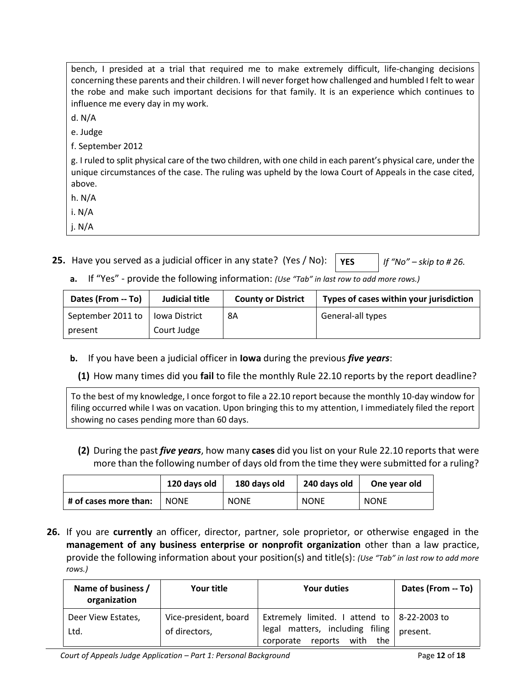| bench, I presided at a trial that required me to make extremely difficult, life-changing decisions<br>concerning these parents and their children. I will never forget how challenged and humbled I felt to wear<br>the robe and make such important decisions for that family. It is an experience which continues to<br>influence me every day in my work. |
|--------------------------------------------------------------------------------------------------------------------------------------------------------------------------------------------------------------------------------------------------------------------------------------------------------------------------------------------------------------|
| d. $N/A$                                                                                                                                                                                                                                                                                                                                                     |
| e. Judge                                                                                                                                                                                                                                                                                                                                                     |
| f. September 2012                                                                                                                                                                                                                                                                                                                                            |
| g. I ruled to split physical care of the two children, with one child in each parent's physical care, under the<br>unique circumstances of the case. The ruling was upheld by the lowa Court of Appeals in the case cited,<br>above.                                                                                                                         |
| h. N/A                                                                                                                                                                                                                                                                                                                                                       |
| i. $N/A$                                                                                                                                                                                                                                                                                                                                                     |
| j. $N/A$                                                                                                                                                                                                                                                                                                                                                     |

- **25.** Have you served as a judicial officer in any state? (Yes / No):  $\vert$  **YES**  $\vert$  *If "No" skip to # 26.* 
	- **a.** If "Yes" provide the following information: *(Use "Tab" in last row to add more rows.)*

| Dates (From -- To) | Judicial title | <b>County or District</b> | Types of cases within your jurisdiction |
|--------------------|----------------|---------------------------|-----------------------------------------|
| September 2011 to  | lowa District  | 8A                        | General-all types                       |
| present            | Court Judge    |                           |                                         |

**b.** If you have been a judicial officer in **Iowa** during the previous *five years*:

**(1)** How many times did you **fail** to file the monthly Rule 22.10 reports by the report deadline?

To the best of my knowledge, I once forgot to file a 22.10 report because the monthly 10-day window for filing occurred while I was on vacation. Upon bringing this to my attention, I immediately filed the report showing no cases pending more than 60 days.

**(2)** During the past *five years*, how many **cases** did you list on your Rule 22.10 reports that were more than the following number of days old from the time they were submitted for a ruling?

|                       | 120 days old | 180 days old | 240 days old | One year old |
|-----------------------|--------------|--------------|--------------|--------------|
| # of cases more than: | <b>NONE</b>  | <b>NONE</b>  | <b>NONE</b>  | <b>NONE</b>  |

**26.** If you are **currently** an officer, director, partner, sole proprietor, or otherwise engaged in the **management of any business enterprise or nonprofit organization** other than a law practice, provide the following information about your position(s) and title(s): *(Use "Tab" in last row to add more rows.)*

| Name of business /<br>organization | Your title                             | <b>Your duties</b>                                                                                                       | Dates (From -- To) |
|------------------------------------|----------------------------------------|--------------------------------------------------------------------------------------------------------------------------|--------------------|
| Deer View Estates,<br>Ltd.         | Vice-president, board<br>of directors, | Extremely limited. I attend to $ 8-22-2003$ to<br>legal matters, including filing<br>reports<br>corporate<br>with<br>the | present.           |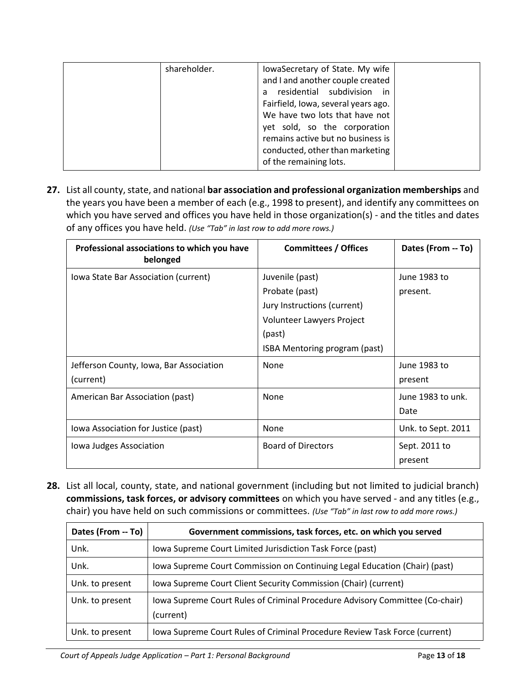| shareholder. | lowaSecretary of State. My wife     |  |
|--------------|-------------------------------------|--|
|              | and I and another couple created    |  |
|              | residential subdivision in<br>a     |  |
|              | Fairfield, Iowa, several years ago. |  |
|              | We have two lots that have not      |  |
|              | yet sold, so the corporation        |  |
|              | remains active but no business is   |  |
|              | conducted, other than marketing     |  |
|              | of the remaining lots.              |  |

**27.** List all county, state, and national **bar association and professional organization memberships** and the years you have been a member of each (e.g., 1998 to present), and identify any committees on which you have served and offices you have held in those organization(s) - and the titles and dates of any offices you have held. *(Use "Tab" in last row to add more rows.)*

| Professional associations to which you have<br>belonged | <b>Committees / Offices</b>                                                                                                              | Dates (From -- To)        |
|---------------------------------------------------------|------------------------------------------------------------------------------------------------------------------------------------------|---------------------------|
| Iowa State Bar Association (current)                    | Juvenile (past)<br>Probate (past)<br>Jury Instructions (current)<br>Volunteer Lawyers Project<br>(past)<br>ISBA Mentoring program (past) | June 1983 to<br>present.  |
| Jefferson County, Iowa, Bar Association<br>(current)    | None                                                                                                                                     | June 1983 to<br>present   |
| American Bar Association (past)                         | None                                                                                                                                     | June 1983 to unk.<br>Date |
| Iowa Association for Justice (past)                     | None                                                                                                                                     | Unk. to Sept. 2011        |
| lowa Judges Association                                 | <b>Board of Directors</b>                                                                                                                | Sept. 2011 to<br>present  |

**28.** List all local, county, state, and national government (including but not limited to judicial branch) **commissions, task forces, or advisory committees** on which you have served - and any titles (e.g., chair) you have held on such commissions or committees. *(Use "Tab" in last row to add more rows.)*

| Dates (From -- To) | Government commissions, task forces, etc. on which you served                             |
|--------------------|-------------------------------------------------------------------------------------------|
| Unk.               | Iowa Supreme Court Limited Jurisdiction Task Force (past)                                 |
| Unk.               | Iowa Supreme Court Commission on Continuing Legal Education (Chair) (past)                |
| Unk. to present    | Iowa Supreme Court Client Security Commission (Chair) (current)                           |
| Unk. to present    | Iowa Supreme Court Rules of Criminal Procedure Advisory Committee (Co-chair)<br>(current) |
| Unk. to present    | lowa Supreme Court Rules of Criminal Procedure Review Task Force (current)                |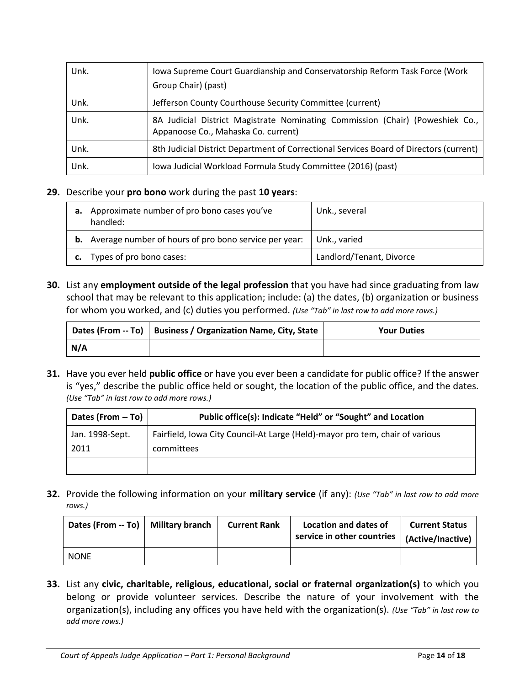| Unk. | lowa Supreme Court Guardianship and Conservatorship Reform Task Force (Work<br>Group Chair) (past)                   |
|------|----------------------------------------------------------------------------------------------------------------------|
| Unk. | Jefferson County Courthouse Security Committee (current)                                                             |
| Unk. | 8A Judicial District Magistrate Nominating Commission (Chair) (Poweshiek Co.,<br>Appanoose Co., Mahaska Co. current) |
| Unk. | 8th Judicial District Department of Correctional Services Board of Directors (current)                               |
| Unk. | Iowa Judicial Workload Formula Study Committee (2016) (past)                                                         |

### **29.** Describe your **pro bono** work during the past **10 years**:

| а. | Approximate number of pro bono cases you've<br>handled:         | Unk., several            |
|----|-----------------------------------------------------------------|--------------------------|
|    | <b>b.</b> Average number of hours of pro bono service per year: | Unk., varied             |
| c. | Types of pro bono cases:                                        | Landlord/Tenant, Divorce |

**30.** List any **employment outside of the legal profession** that you have had since graduating from law school that may be relevant to this application; include: (a) the dates, (b) organization or business for whom you worked, and (c) duties you performed. *(Use "Tab" in last row to add more rows.)*

|     | Dates (From -- To)   Business / Organization Name, City, State | <b>Your Duties</b> |
|-----|----------------------------------------------------------------|--------------------|
| N/A |                                                                |                    |

**31.** Have you ever held **public office** or have you ever been a candidate for public office? If the answer is "yes," describe the public office held or sought, the location of the public office, and the dates. *(Use "Tab" in last row to add more rows.)*

| Dates (From -- To) | Public office(s): Indicate "Held" or "Sought" and Location                   |
|--------------------|------------------------------------------------------------------------------|
| Jan. 1998-Sept.    | Fairfield, Iowa City Council-At Large (Held)-mayor pro tem, chair of various |
| 2011               | committees                                                                   |
|                    |                                                                              |

**32.** Provide the following information on your **military service** (if any): *(Use "Tab" in last row to add more rows.)*

| Dates (From $-$ To) $\vert$ | <b>Military branch</b> | <b>Current Rank</b> | <b>Location and dates of</b><br>service in other countries | <b>Current Status</b><br>(Active/Inactive) |
|-----------------------------|------------------------|---------------------|------------------------------------------------------------|--------------------------------------------|
| <b>NONE</b>                 |                        |                     |                                                            |                                            |

**33.** List any **civic, charitable, religious, educational, social or fraternal organization(s)** to which you belong or provide volunteer services. Describe the nature of your involvement with the organization(s), including any offices you have held with the organization(s). *(Use "Tab" in last row to add more rows.)*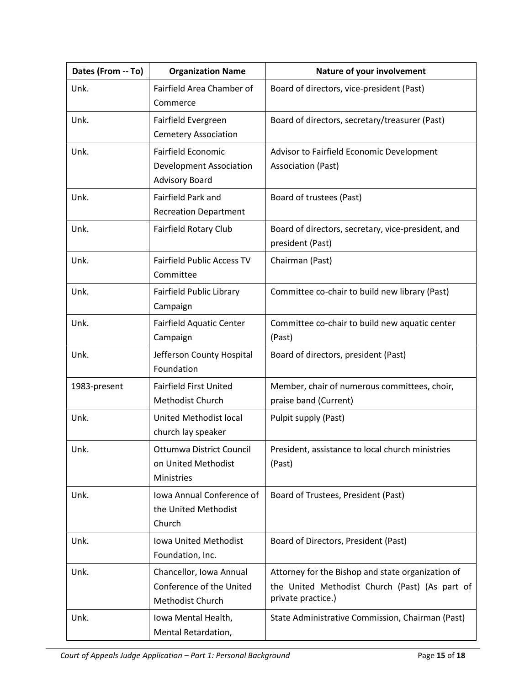| Dates (From -- To) | <b>Organization Name</b>                                                             | Nature of your involvement                                                                                                |
|--------------------|--------------------------------------------------------------------------------------|---------------------------------------------------------------------------------------------------------------------------|
| Unk.               | Fairfield Area Chamber of<br>Commerce                                                | Board of directors, vice-president (Past)                                                                                 |
| Unk.               | Fairfield Evergreen<br><b>Cemetery Association</b>                                   | Board of directors, secretary/treasurer (Past)                                                                            |
| Unk.               | <b>Fairfield Economic</b><br><b>Development Association</b><br><b>Advisory Board</b> | Advisor to Fairfield Economic Development<br>Association (Past)                                                           |
| Unk.               | Fairfield Park and<br><b>Recreation Department</b>                                   | Board of trustees (Past)                                                                                                  |
| Unk.               | Fairfield Rotary Club                                                                | Board of directors, secretary, vice-president, and<br>president (Past)                                                    |
| Unk.               | <b>Fairfield Public Access TV</b><br>Committee                                       | Chairman (Past)                                                                                                           |
| Unk.               | Fairfield Public Library<br>Campaign                                                 | Committee co-chair to build new library (Past)                                                                            |
| Unk.               | <b>Fairfield Aquatic Center</b><br>Campaign                                          | Committee co-chair to build new aquatic center<br>(Past)                                                                  |
| Unk.               | Jefferson County Hospital<br>Foundation                                              | Board of directors, president (Past)                                                                                      |
| 1983-present       | <b>Fairfield First United</b><br>Methodist Church                                    | Member, chair of numerous committees, choir,<br>praise band (Current)                                                     |
| Unk.               | United Methodist local<br>church lay speaker                                         | Pulpit supply (Past)                                                                                                      |
| Unk.               | Ottumwa District Council<br>on United Methodist<br><b>Ministries</b>                 | President, assistance to local church ministries<br>(Past)                                                                |
| Unk.               | <b>Iowa Annual Conference of</b><br>the United Methodist<br>Church                   | Board of Trustees, President (Past)                                                                                       |
| Unk.               | Iowa United Methodist<br>Foundation, Inc.                                            | Board of Directors, President (Past)                                                                                      |
| Unk.               | Chancellor, Iowa Annual<br>Conference of the United<br>Methodist Church              | Attorney for the Bishop and state organization of<br>the United Methodist Church (Past) (As part of<br>private practice.) |
| Unk.               | Iowa Mental Health,<br>Mental Retardation,                                           | State Administrative Commission, Chairman (Past)                                                                          |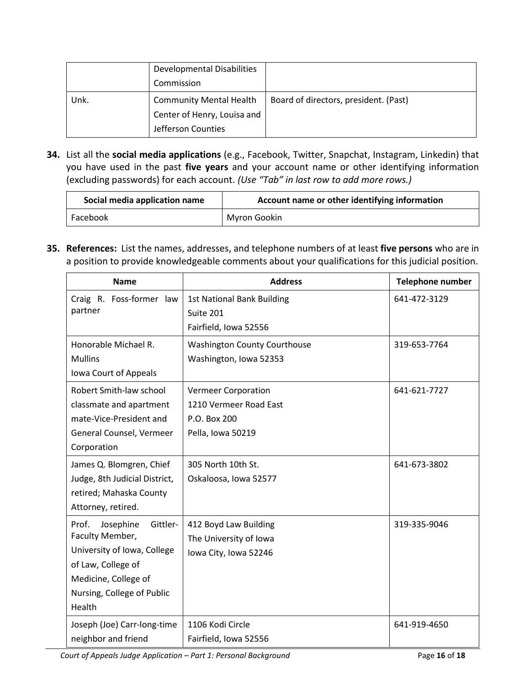|      | <b>Developmental Disabilities</b> |                                       |
|------|-----------------------------------|---------------------------------------|
|      | Commission                        |                                       |
| Unk. | <b>Community Mental Health</b>    | Board of directors, president. (Past) |
|      | Center of Henry, Louisa and       |                                       |
|      | Jefferson Counties                |                                       |

**34.** List all the **social media applications** (e.g., Facebook, Twitter, Snapchat, Instagram, Linkedin) that you have used in the past **five years** and your account name or other identifying information (excluding passwords) for each account. *(Use "Tab" in last row to add more rows.)*

| Social media application name | Account name or other identifying information |
|-------------------------------|-----------------------------------------------|
| Facebook                      | Myron Gookin                                  |

**35. References:** List the names, addresses, and telephone numbers of at least **five persons** who are in a position to provide knowledgeable comments about your qualifications for this judicial position.

| <b>Name</b>                    | <b>Address</b>                      | Telephone number |
|--------------------------------|-------------------------------------|------------------|
| Craig R. Foss-former law       | <b>1st National Bank Building</b>   | 641-472-3129     |
| partner                        | Suite 201                           |                  |
|                                | Fairfield, Iowa 52556               |                  |
| Honorable Michael R.           | <b>Washington County Courthouse</b> | 319-653-7764     |
| <b>Mullins</b>                 | Washington, Iowa 52353              |                  |
| Iowa Court of Appeals          |                                     |                  |
| Robert Smith-law school        | <b>Vermeer Corporation</b>          | 641-621-7727     |
| classmate and apartment        | 1210 Vermeer Road East              |                  |
| mate-Vice-President and        | P.O. Box 200                        |                  |
| General Counsel, Vermeer       | Pella, Iowa 50219                   |                  |
| Corporation                    |                                     |                  |
| James Q. Blomgren, Chief       | 305 North 10th St.                  | 641-673-3802     |
| Judge, 8th Judicial District,  | Oskaloosa, Iowa 52577               |                  |
| retired; Mahaska County        |                                     |                  |
| Attorney, retired.             |                                     |                  |
| Josephine<br>Gittler-<br>Prof. | 412 Boyd Law Building               | 319-335-9046     |
| Faculty Member,                | The University of Iowa              |                  |
| University of Iowa, College    | Iowa City, Iowa 52246               |                  |
| of Law, College of             |                                     |                  |
| Medicine, College of           |                                     |                  |
| Nursing, College of Public     |                                     |                  |
| Health                         |                                     |                  |
| Joseph (Joe) Carr-long-time    | 1106 Kodi Circle                    | 641-919-4650     |
| neighbor and friend            | Fairfield, Iowa 52556               |                  |

*Court of Appeals Judge Application – Part 1: Personal Background* Page **16** of **18**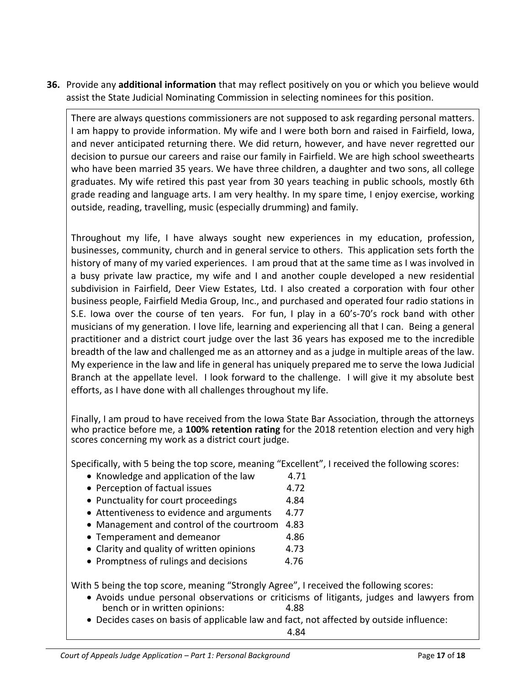**36.** Provide any **additional information** that may reflect positively on you or which you believe would assist the State Judicial Nominating Commission in selecting nominees for this position.

There are always questions commissioners are not supposed to ask regarding personal matters. I am happy to provide information. My wife and I were both born and raised in Fairfield, Iowa, and never anticipated returning there. We did return, however, and have never regretted our decision to pursue our careers and raise our family in Fairfield. We are high school sweethearts who have been married 35 years. We have three children, a daughter and two sons, all college graduates. My wife retired this past year from 30 years teaching in public schools, mostly 6th grade reading and language arts. I am very healthy. In my spare time, I enjoy exercise, working outside, reading, travelling, music (especially drumming) and family.

Throughout my life, I have always sought new experiences in my education, profession, businesses, community, church and in general service to others. This application sets forth the history of many of my varied experiences. I am proud that at the same time as I was involved in a busy private law practice, my wife and I and another couple developed a new residential subdivision in Fairfield, Deer View Estates, Ltd. I also created a corporation with four other business people, Fairfield Media Group, Inc., and purchased and operated four radio stations in S.E. Iowa over the course of ten years. For fun, I play in a 60's-70's rock band with other musicians of my generation. I love life, learning and experiencing all that I can. Being a general practitioner and a district court judge over the last 36 years has exposed me to the incredible breadth of the law and challenged me as an attorney and as a judge in multiple areas of the law. My experience in the law and life in general has uniquely prepared me to serve the Iowa Judicial Branch at the appellate level. I look forward to the challenge. I will give it my absolute best efforts, as I have done with all challenges throughout my life.

Finally, I am proud to have received from the Iowa State Bar Association, through the attorneys who practice before me, a 100% retention rating for the 2018 retention election and very high scores concerning my work as a district court judge.

Specifically, with 5 being the top score, meaning "Excellent", I received the following scores:

- Knowledge and application of the law  $4.71$
- Perception of factual issues 4.72
- Punctuality for court proceedings 4.84
- Attentiveness to evidence and arguments 4.77
- Management and control of the courtroom 4.83
- Temperament and demeanor 4.86
- Clarity and quality of written opinions 4.73
- Promptness of rulings and decisions 4.76

With 5 being the top score, meaning "Strongly Agree", I received the following scores:

- Avoids undue personal observations or criticisms of litigants, judges and lawyers from bench or in written opinions: 4.88
- Decides cases on basis of applicable law and fact, not affected by outside influence: